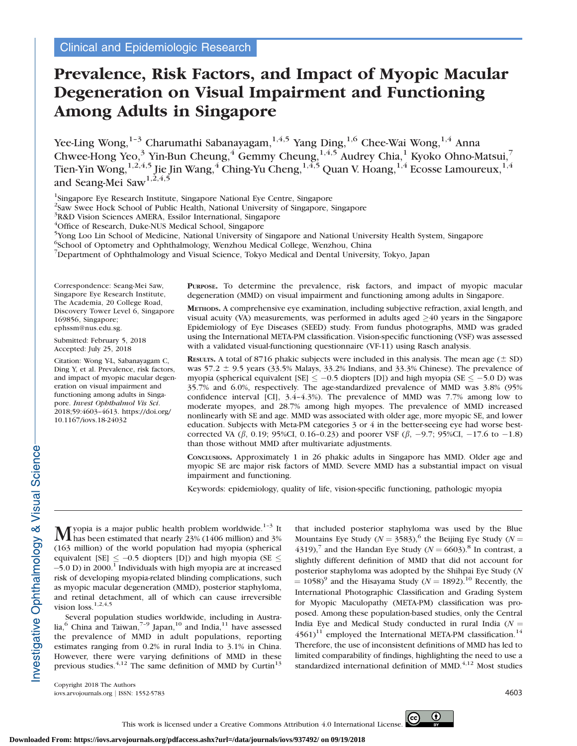# Prevalence, Risk Factors, and Impact of Myopic Macular Degeneration on Visual Impairment and Functioning Among Adults in Singapore

Yee-Ling Wong,  $^{1-3}$  Charumathi Sabanayagam,  $^{1,4,5}$  Yang Ding,  $^{1,6}$  Chee-Wai Wong,  $^{1,4}$  Anna Chwee-Hong Yeo,<sup>3</sup> Yin-Bun Cheung,<sup>4</sup> Gemmy Cheung,<sup>1,4,5</sup> Audrey Chia,<sup>1</sup> Kyoko Ohno-Matsui,<sup>7</sup> Tien-Yin Wong,  $^{1,2,4,5}$  Jie Jin Wang,  $^{4}$  Ching-Yu Cheng,  $^{1,4,5}$  Quan V. Hoang,  $^{1,4}$  Ecosse Lamoureux,  $^{1,4}$ and Seang-Mei Saw $^{1,2,4,5}$ 

<sup>1</sup>Singapore Eye Research Institute, Singapore National Eye Centre, Singapore

<sup>2</sup>Saw Swee Hock School of Public Health, National University of Singapore, Singapore

3 R&D Vision Sciences AMERA, Essilor International, Singapore

4 Office of Research, Duke-NUS Medical School, Singapore

<sup>5</sup>Yong Loo Lin School of Medicine, National University of Singapore and National University Health System, Singapore

<sup>6</sup>School of Optometry and Ophthalmology, Wenzhou Medical College, Wenzhou, China

7 Department of Ophthalmology and Visual Science, Tokyo Medical and Dental University, Tokyo, Japan

Correspondence: Seang-Mei Saw, Singapore Eye Research Institute, The Academia, 20 College Road, Discovery Tower Level 6, Singapore 169856, Singapore; ephssm@nus.edu.sg.

Submitted: February 5, 2018 Accepted: July 25, 2018

Citation: Wong Y-L, Sabanayagam C, Ding Y, et al. Prevalence, risk factors, and impact of myopic macular degeneration on visual impairment and functioning among adults in Singapore. Invest Ophthalmol Vis Sci. 2018;59:4603–4613. https://doi.org/ 10.1167/iovs.18-24032

PURPOSE. To determine the prevalence, risk factors, and impact of myopic macular degeneration (MMD) on visual impairment and functioning among adults in Singapore.

METHODS. A comprehensive eye examination, including subjective refraction, axial length, and visual acuity (VA) measurements, was performed in adults aged  $\geq$  40 years in the Singapore Epidemiology of Eye Diseases (SEED) study. From fundus photographs, MMD was graded using the International META-PM classification. Vision-specific functioning (VSF) was assessed with a validated visual-functioning questionnaire (VF-11) using Rasch analysis.

**RESULTS.** A total of 8716 phakic subjects were included in this analysis. The mean age  $(\pm$  SD) was 57.2  $\pm$  9.5 years (33.5% Malays, 33.2% Indians, and 33.3% Chinese). The prevalence of myopia (spherical equivalent [SE]  $\leq -0.5$  diopters [D]) and high myopia (SE  $\leq -5.0$  D) was 35.7% and 6.0%, respectively. The age-standardized prevalence of MMD was 3.8% (95% confidence interval [CI], 3.4–4.3%). The prevalence of MMD was 7.7% among low to moderate myopes, and 28.7% among high myopes. The prevalence of MMD increased nonlinearly with SE and age. MMD was associated with older age, more myopic SE, and lower education. Subjects with Meta-PM categories 3 or 4 in the better-seeing eye had worse bestcorrected VA ( $\beta$ , 0.19; 95%CI, 0.16-0.23) and poorer VSF ( $\beta$ , -9.7; 95%CI, -17.6 to -1.8) than those without MMD after multivariate adjustments.

CONCLUSIONS. Approximately 1 in 26 phakic adults in Singapore has MMD. Older age and myopic SE are major risk factors of MMD. Severe MMD has a substantial impact on visual impairment and functioning.

Keywords: epidemiology, quality of life, vision-specific functioning, pathologic myopia

M yopia is a major public health problem worldwide.<sup>1-3</sup> It has been estimated that nearly  $23\%$  (1406 million) and  $3\%$ (163 million) of the world population had myopia (spherical equivalent [SE]  $\leq -0.5$  diopters [D]) and high myopia (SE  $\leq$  $-5.0$  D) in 2000.<sup>1</sup> Individuals with high myopia are at increased risk of developing myopia-related blinding complications, such as myopic macular degeneration (MMD), posterior staphyloma, and retinal detachment, all of which can cause irreversible vision  $loss.<sup>1,2,4,5</sup>$ 

Several population studies worldwide, including in Australia,<sup>6</sup> China and Taiwan,<sup>7-9</sup> Japan,<sup>10</sup> and India,<sup>11</sup> have assessed the prevalence of MMD in adult populations, reporting estimates ranging from 0.2% in rural India to 3.1% in China. However, there were varying definitions of MMD in these previous studies.<sup>4,12</sup> The same definition of MMD by Curtin<sup>13</sup>

that included posterior staphyloma was used by the Blue Mountains Eye Study ( $N = 3583$ ),<sup>6</sup> the Beijing Eye Study ( $N =$ 4319),<sup>7</sup> and the Handan Eye Study ( $N = 6603$ ).<sup>8</sup> In contrast, a slightly different definition of MMD that did not account for posterior staphyloma was adopted by the Shihpai Eye Study (N  $= 1058$ <sup>9</sup> and the Hisayama Study ( $N = 1892$ ).<sup>10</sup> Recently, the International Photographic Classification and Grading System for Myopic Maculopathy (META-PM) classification was proposed. Among these population-based studies, only the Central India Eye and Medical Study conducted in rural India ( $N =$  $4561$ <sup>11</sup> employed the International META-PM classification.<sup>14</sup> Therefore, the use of inconsistent definitions of MMD has led to limited comparability of findings, highlighting the need to use a standardized international definition of MMD.<sup>4,12</sup> Most studies

Copyright 2018 The Authors iovs.arvojournals.org j ISSN: 1552-5783 4603



 $\odot$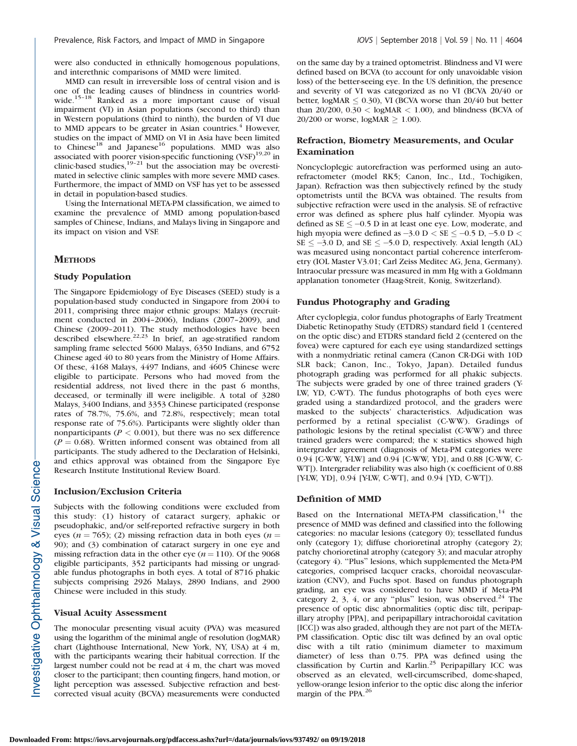were also conducted in ethnically homogenous populations, and interethnic comparisons of MMD were limited.

MMD can result in irreversible loss of central vision and is one of the leading causes of blindness in countries worldwide.15–18 Ranked as a more important cause of visual impairment (VI) in Asian populations (second to third) than in Western populations (third to ninth), the burden of VI due to MMD appears to be greater in Asian countries.<sup>4</sup> However, studies on the impact of MMD on VI in Asia have been limited to Chinese<sup>18</sup> and Japanese<sup>16</sup> populations. MMD was also associated with poorer vision-specific functioning  $(VSF)^{19,20}$  in clinic-based studies, $19-21$  but the association may be overestimated in selective clinic samples with more severe MMD cases. Furthermore, the impact of MMD on VSF has yet to be assessed in detail in population-based studies.

Using the International META-PM classification, we aimed to examine the prevalence of MMD among population-based samples of Chinese, Indians, and Malays living in Singapore and its impact on vision and VSF.

# **METHODS**

## Study Population

The Singapore Epidemiology of Eye Diseases (SEED) study is a population-based study conducted in Singapore from 2004 to 2011, comprising three major ethnic groups: Malays (recruitment conducted in 2004–2006), Indians (2007–2009), and Chinese (2009–2011). The study methodologies have been described elsewhere.<sup>22,23</sup> In brief, an age-stratified random sampling frame selected 5600 Malays, 6350 Indians, and 6752 Chinese aged 40 to 80 years from the Ministry of Home Affairs. Of these, 4168 Malays, 4497 Indians, and 4605 Chinese were eligible to participate. Persons who had moved from the residential address, not lived there in the past 6 months, deceased, or terminally ill were ineligible. A total of 3280 Malays, 3400 Indians, and 3353 Chinese participated (response rates of 78.7%, 75.6%, and 72.8%, respectively; mean total response rate of 75.6%). Participants were slightly older than nonparticipants ( $P < 0.001$ ), but there was no sex difference  $(P = 0.68)$ . Written informed consent was obtained from all participants. The study adhered to the Declaration of Helsinki, and ethics approval was obtained from the Singapore Eye Research Institute Institutional Review Board.

#### Inclusion/Exclusion Criteria

Subjects with the following conditions were excluded from this study: (1) history of cataract surgery, aphakic or pseudophakic, and/or self-reported refractive surgery in both eyes ( $n = 765$ ); (2) missing refraction data in both eyes ( $n =$ 90); and (3) combination of cataract surgery in one eye and missing refraction data in the other eye ( $n = 110$ ). Of the 9068 eligible participants, 352 participants had missing or ungradable fundus photographs in both eyes. A total of 8716 phakic subjects comprising 2926 Malays, 2890 Indians, and 2900 Chinese were included in this study.

#### Visual Acuity Assessment

The monocular presenting visual acuity (PVA) was measured using the logarithm of the minimal angle of resolution (logMAR) chart (Lighthouse International, New York, NY, USA) at 4 m, with the participants wearing their habitual correction. If the largest number could not be read at 4 m, the chart was moved closer to the participant; then counting fingers, hand motion, or light perception was assessed. Subjective refraction and bestcorrected visual acuity (BCVA) measurements were conducted on the same day by a trained optometrist. Blindness and VI were defined based on BCVA (to account for only unavoidable vision loss) of the better-seeing eye. In the US definition, the presence and severity of VI was categorized as no VI (BCVA 20/40 or better,  $logMAR \leq 0.30$ , VI (BCVA worse than 20/40 but better than  $20/200$ ,  $0.30 <$  logMAR  $< 1.00$ ), and blindness (BCVA of 20/200 or worse,  $log<sub>MAP</sub> \ge 1.00$ ).

# Refraction, Biometry Measurements, and Ocular Examination

Noncycloplegic autorefraction was performed using an autorefractometer (model RK5; Canon, Inc., Ltd., Tochigiken, Japan). Refraction was then subjectively refined by the study optometrists until the BCVA was obtained. The results from subjective refraction were used in the analysis. SE of refractive error was defined as sphere plus half cylinder. Myopia was defined as  $SE \le -0.5$  D in at least one eye. Low, moderate, and high myopia were defined as  $-3.0$  D  $<$  SE  $\leq -0.5$  D,  $-5.0$  D  $<$  $SE \le -3.0$  D, and  $SE \le -5.0$  D, respectively. Axial length (AL) was measured using noncontact partial coherence interferometry (IOL Master V3.01; Carl Zeiss Meditec AG, Jena, Germany). Intraocular pressure was measured in mm Hg with a Goldmann applanation tonometer (Haag-Streit, Konig, Switzerland).

## Fundus Photography and Grading

After cycloplegia, color fundus photographs of Early Treatment Diabetic Retinopathy Study (ETDRS) standard field 1 (centered on the optic disc) and ETDRS standard field 2 (centered on the fovea) were captured for each eye using standardized settings with a nonmydriatic retinal camera (Canon CR-DGi with 10D SLR back; Canon, Inc., Tokyo, Japan). Detailed fundus photograph grading was performed for all phakic subjects. The subjects were graded by one of three trained graders (Y-LW, YD, C-WT). The fundus photographs of both eyes were graded using a standardized protocol, and the graders were masked to the subjects' characteristics. Adjudication was performed by a retinal specialist (C-WW). Gradings of pathologic lesions by the retinal specialist (C-WW) and three trained graders were compared; the  $\kappa$  statistics showed high intergrader agreement (diagnosis of Meta-PM categories were 0.94 [C-WW, Y-LW] and 0.94 [C-WW, YD], and 0.88 [C-WW, C-WT]). Intergrader reliability was also high ( $\kappa$  coefficient of 0.88 [Y-LW, YD], 0.94 [Y-LW, C-WT], and 0.94 [YD, C-WT]).

#### Definition of MMD

Based on the International META-PM classification, $14$  the presence of MMD was defined and classified into the following categories: no macular lesions (category 0); tessellated fundus only (category 1); diffuse chorioretinal atrophy (category 2); patchy chorioretinal atrophy (category 3); and macular atrophy (category 4). ''Plus'' lesions, which supplemented the Meta-PM categories, comprised lacquer cracks, choroidal neovascularization (CNV), and Fuchs spot. Based on fundus photograph grading, an eye was considered to have MMD if Meta-PM category 2, 3, 4, or any "plus" lesion, was observed.<sup>24</sup> The presence of optic disc abnormalities (optic disc tilt, peripapillary atrophy [PPA], and peripapillary intrachoroidal cavitation [ICC]) was also graded, although they are not part of the META-PM classification. Optic disc tilt was defined by an oval optic disc with a tilt ratio (minimum diameter to maximum diameter) of less than 0.75. PPA was defined using the classification by Curtin and Karlin.<sup>25</sup> Peripapillary ICC was observed as an elevated, well-circumscribed, dome-shaped, yellow-orange lesion inferior to the optic disc along the inferior margin of the PPA.<sup>26</sup>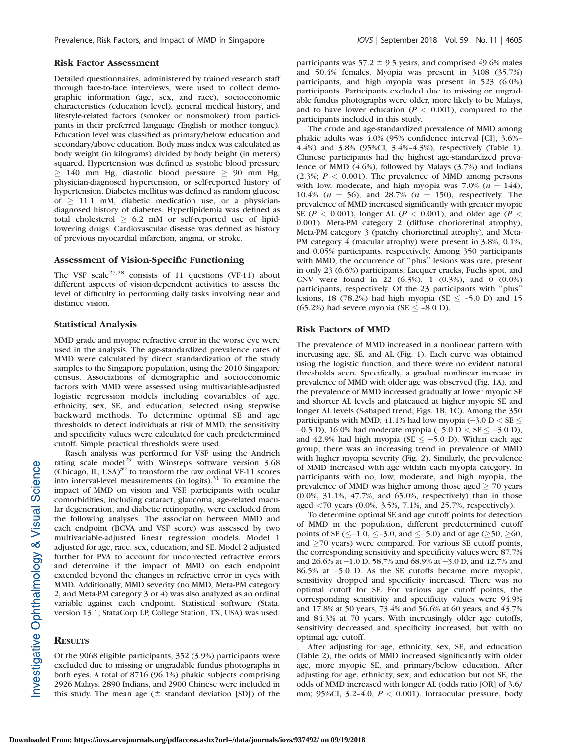#### Risk Factor Assessment

Detailed questionnaires, administered by trained research staff through face-to-face interviews, were used to collect demographic information (age, sex, and race), socioeconomic characteristics (education level), general medical history, and lifestyle-related factors (smoker or nonsmoker) from participants in their preferred language (English or mother tongue). Education level was classified as primary/below education and secondary/above education. Body mass index was calculated as body weight (in kilograms) divided by body height (in meters) squared. Hypertension was defined as systolic blood pressure  $\geq$  140 mm Hg, diastolic blood pressure  $\geq$  90 mm Hg, physician-diagnosed hypertension, or self-reported history of hypertension. Diabetes mellitus was defined as random glucose of  $\geq$  11.1 mM, diabetic medication use, or a physiciandiagnosed history of diabetes. Hyperlipidemia was defined as total cholesterol  $\geq$  6.2 mM or self-reported use of lipidlowering drugs. Cardiovascular disease was defined as history of previous myocardial infarction, angina, or stroke.

# Assessment of Vision-Specific Functioning

The VSF scale $27,28$  consists of 11 questions (VF-11) about different aspects of vision-dependent activities to assess the level of difficulty in performing daily tasks involving near and distance vision.

## Statistical Analysis

MMD grade and myopic refractive error in the worse eye were used in the analysis. The age-standardized prevalence rates of MMD were calculated by direct standardization of the study samples to the Singapore population, using the 2010 Singapore census. Associations of demographic and socioeconomic factors with MMD were assessed using multivariable-adjusted logistic regression models including covariables of age, ethnicity, sex, SE, and education, selected using stepwise backward methods. To determine optimal SE and age thresholds to detect individuals at risk of MMD, the sensitivity and specificity values were calculated for each predetermined cutoff. Simple practical thresholds were used.

Rasch analysis was performed for VSF using the Andrich rating scale model<sup>29</sup> with Winsteps software version  $3.68$ (Chicago, IL, USA) $30$  to transform the raw ordinal VF-11 scores into interval-level measurements (in logits). $31$  To examine the impact of MMD on vision and VSF, participants with ocular comorbidities, including cataract, glaucoma, age-related macular degeneration, and diabetic retinopathy, were excluded from the following analyses. The association between MMD and each endpoint (BCVA and VSF score) was assessed by two multivariable-adjusted linear regression models. Model 1 adjusted for age, race, sex, education, and SE. Model 2 adjusted further for PVA to account for uncorrected refractive errors and determine if the impact of MMD on each endpoint extended beyond the changes in refractive error in eyes with MMD. Additionally, MMD severity (no MMD, Meta-PM category 2, and Meta-PM category 3 or 4) was also analyzed as an ordinal variable against each endpoint. Statistical software (Stata, version 13.1; StataCorp LP, College Station, TX, USA) was used.

# **RESULTS**

Of the 9068 eligible participants, 352 (3.9%) participants were excluded due to missing or ungradable fundus photographs in both eyes. A total of 8716 (96.1%) phakic subjects comprising 2926 Malays, 2890 Indians, and 2900 Chinese were included in this study. The mean age  $(\pm$  standard deviation [SD]) of the

participants was 57.2  $\pm$  9.5 years, and comprised 49.6% males and 50.4% females. Myopia was present in 3108 (35.7%) participants, and high myopia was present in 523 (6.0%) participants. Participants excluded due to missing or ungradable fundus photographs were older, more likely to be Malays, and to have lower education ( $P < 0.001$ ), compared to the participants included in this study.

The crude and age-standardized prevalence of MMD among phakic adults was 4.0% (95% confidence interval [CI], 3.6%– 4.4%) and 3.8% (95%CI, 3.4%–4.3%), respectively (Table 1). Chinese participants had the highest age-standardized prevalence of MMD (4.6%), followed by Malays (3.7%) and Indians (2.3%;  $P < 0.001$ ). The prevalence of MMD among persons with low, moderate, and high myopia was 7.0% ( $n = 144$ ), 10.4% ( $n = 56$ ), and 28.7% ( $n = 150$ ), respectively. The prevalence of MMD increased significantly with greater myopic SE ( $P < 0.001$ ), longer AL ( $P < 0.001$ ), and older age ( $P <$ 0.001). Meta-PM category 2 (diffuse chorioretinal atrophy), Meta-PM category 3 (patchy chorioretinal atrophy), and Meta-PM category 4 (macular atrophy) were present in 3.8%, 0.1%, and 0.05% participants, respectively. Among 350 participants with MMD, the occurrence of ''plus'' lesions was rare, present in only 23 (6.6%) participants. Lacquer cracks, Fuchs spot, and CNV were found in 22 (6.3%), 1 (0.3%), and 0 (0.0%) participants, respectively. Of the 23 participants with ''plus'' lesions, 18 (78.2%) had high myopia (SE  $\leq$  -5.0 D) and 15  $(65.2%)$  had severe myopia (SE  $\leq$  -8.0 D).

## Risk Factors of MMD

The prevalence of MMD increased in a nonlinear pattern with increasing age, SE, and AL (Fig. 1). Each curve was obtained using the logistic function, and there were no evident natural thresholds seen. Specifically, a gradual nonlinear increase in prevalence of MMD with older age was observed (Fig. 1A), and the prevalence of MMD increased gradually at lower myopic SE and shorter AL levels and plateaued at higher myopic SE and longer AL levels (S-shaped trend; Figs. 1B, 1C). Among the 350 participants with MMD, 41.1% had low myopia (–3.0 D  $<$  SE  $\le$  $-0.5$  D), 16.0% had moderate myopia  $(-5.0 \text{ D} < \text{SE} \le -3.0 \text{ D})$ , and 42.9% had high myopia (SE  $\le$  -5.0 D). Within each age group, there was an increasing trend in prevalence of MMD with higher myopia severity (Fig. 2). Similarly, the prevalence of MMD increased with age within each myopia category. In participants with no, low, moderate, and high myopia, the prevalence of MMD was higher among those aged  $\geq$  70 years (0.0%, 31.1%, 47.7%, and 65.0%, respectively) than in those aged <70 years (0.0%, 3.5%, 7.1%, and 25.7%, respectively).

To determine optimal SE and age cutoff points for detection of MMD in the population, different predetermined cutoff points of SE ( $\leq$  -1.0,  $\leq$  -3.0, and  $\leq$  -5.0) and of age ( $\geq$  50,  $\geq$  60, and  $\geq$ 70 years) were compared. For various SE cutoff points, the corresponding sensitivity and specificity values were 87.7% and 26.6% at  $-1.0$  D, 58.7% and 68.9% at  $-3.0$  D, and 42.7% and  $86.5\%$  at  $-5.0$  D. As the SE cutoffs became more myopic, sensitivity dropped and specificity increased. There was no optimal cutoff for SE. For various age cutoff points, the corresponding sensitivity and specificity values were 94.9% and 17.8% at 50 years, 73.4% and 56.6% at 60 years, and 43.7% and 84.3% at 70 years. With increasingly older age cutoffs, sensitivity decreased and specificity increased, but with no optimal age cutoff.

After adjusting for age, ethnicity, sex, SE, and education (Table 2), the odds of MMD increased significantly with older age, more myopic SE, and primary/below education. After adjusting for age, ethnicity, sex, and education but not SE, the odds of MMD increased with longer AL (odds ratio [OR] of 3.6/ mm; 95%CI, 3.2-4.0,  $P < 0.001$ ). Intraocular pressure, body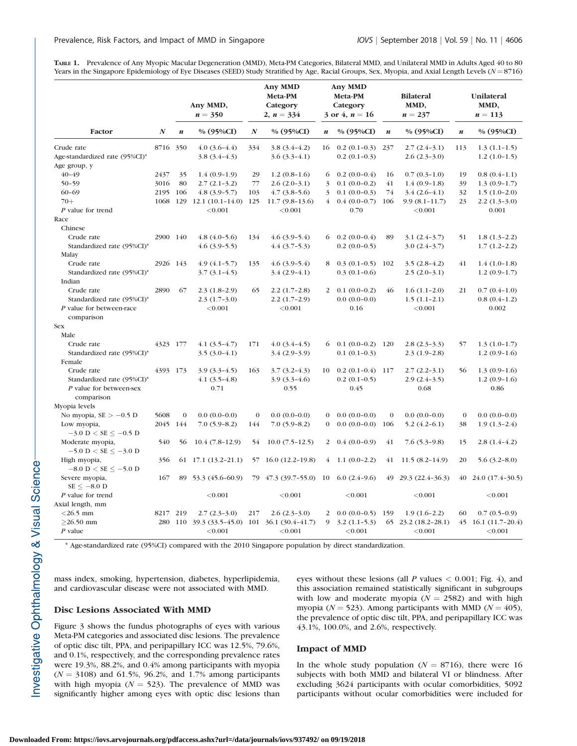| Table 1. Prevalence of Any Myopic Macular Degeneration (MMD), Meta-PM Categories, Bilateral MMD, and Unilateral MMD in Adults Aged 40 to 80      |
|--------------------------------------------------------------------------------------------------------------------------------------------------|
| Years in the Singapore Epidemiology of Eye Diseases (SEED) Study Stratified by Age, Racial Groups, Sex, Myopia, and Axial Length Levels (N=8716) |

|                                       |                  |                  | Any MMD,<br>$n = 350$ |                  | <b>Any MMD</b><br>Meta-PM<br>Category<br>2, $n = 334$ |                  | <b>Any MMD</b><br>Meta-PM<br>Category<br>3 or 4, $n = 16$ |                  | <b>Bilateral</b><br>MMD,<br>$n = 237$ |                  | Unilateral<br>MMD,<br>$n = 113$ |
|---------------------------------------|------------------|------------------|-----------------------|------------------|-------------------------------------------------------|------------------|-----------------------------------------------------------|------------------|---------------------------------------|------------------|---------------------------------|
| Factor                                | $\boldsymbol{N}$ | $\boldsymbol{n}$ | % (95%CI)             | $\boldsymbol{N}$ | % (95%CI)                                             | $\boldsymbol{n}$ | % (95%CI)                                                 | $\boldsymbol{n}$ | % (95%CI)                             | $\boldsymbol{n}$ | % (95%CI)                       |
| Crude rate                            | 8716 350         |                  | $4.0(3.6-4.4)$        | 334              | $3.8(3.4-4.2)$                                        |                  | $16 \quad 0.2 \ (0.1-0.3)$                                | 237              | $2.7(2.4-3.1)$                        | 113              | $1.3(1.1-1.5)$                  |
| Age-standardized rate (95%CI)*        |                  |                  | $3.8(3.4-4.3)$        |                  | $3.6(3.3-4.1)$                                        |                  | $0.2(0.1-0.3)$                                            |                  | $2.6(2.3-3.0)$                        |                  | $1.2(1.0-1.5)$                  |
| Age group, y                          |                  |                  |                       |                  |                                                       |                  |                                                           |                  |                                       |                  |                                 |
| $40 - 49$                             | 2437             | 35               | $1.4(0.9-1.9)$        | 29               | $1.2(0.8-1.6)$                                        | 6                | $0.2(0.0-0.4)$                                            | 16               | $0.7(0.3-1.0)$                        | 19               | $0.8(0.4-1.1)$                  |
| $50 - 59$                             | 3016             | 80               | $2.7(2.1-3.2)$        | 77               | $2.6(2.0-3.1)$                                        | 3                | $0.1(0.0-0.2)$                                            | 41               | $1.4(0.9-1.8)$                        | 39               | $1.3(0.9-1.7)$                  |
| $60 - 69$                             | 2195 106         |                  | $4.8(3.9-5.7)$        | 103              | $4.7(3.8-5.6)$                                        | 3                | $0.1(0.0-0.3)$                                            | 74               | $3.4(2.6-4.1)$                        | 32               | $1.5(1.0-2.0)$                  |
| $70+$                                 | 1068 129         |                  | $12.1(10.1-14.0)$     | 125              | $11.7(9.8-13.6)$                                      | $\overline{4}$   | $0.4(0.0-0.7)$                                            | 106              | $9.9(8.1 - 11.7)$                     | 23               | $2.2(1.3-3.0)$                  |
| P value for trend                     |                  |                  | < 0.001               |                  | < 0.001                                               |                  | 0.70                                                      |                  | < 0.001                               |                  | 0.001                           |
| Race                                  |                  |                  |                       |                  |                                                       |                  |                                                           |                  |                                       |                  |                                 |
| Chinese                               |                  |                  |                       |                  |                                                       |                  |                                                           |                  |                                       |                  |                                 |
| Crude rate                            | 2900 140         |                  | $4.8(4.0-5.6)$        | 134              | $4.6(3.9-5.4)$                                        |                  | $6$ 0.2 (0.0-0.4)                                         | 89               | $3.1(2.4-3.7)$                        | 51               | $1.8(1.3-2.2)$                  |
| Standardized rate (95%CI)*            |                  |                  | $4.6(3.9-5.5)$        |                  | $4.4(3.7-5.3)$                                        |                  | $0.2(0.0-0.5)$                                            |                  | $3.0(2.4-3.7)$                        |                  | $1.7(1.2-2.2)$                  |
| Malay                                 |                  |                  |                       |                  |                                                       |                  |                                                           |                  |                                       |                  |                                 |
| Crude rate                            | 2926 143         |                  | $4.9(4.1-5.7)$        | 135              | $4.6(3.9-5.4)$                                        | 8                | $0.3(0.1-0.5)$                                            | 102              | $3.5(2.8-4.2)$                        | 41               | $1.4(1.0-1.8)$                  |
| Standardized rate (95%CI)*            |                  |                  | $3.7(3.1-4.5)$        |                  | $3.4(2.9-4.1)$                                        |                  | $0.3(0.1-0.6)$                                            |                  | $2.5(2.0-3.1)$                        |                  | $1.2(0.9-1.7)$                  |
| Indian                                |                  |                  |                       |                  |                                                       |                  |                                                           |                  |                                       |                  |                                 |
|                                       |                  |                  |                       |                  |                                                       |                  |                                                           |                  |                                       |                  |                                 |
| Crude rate                            | 2890             | 67               | $2.3(1.8-2.9)$        | 65               | $2.2(1.7-2.8)$                                        |                  | $2\quad 0.1\ (0.0-0.2)$                                   | 46               | $1.6(1.1-2.0)$                        | 21               | $0.7(0.4-1.0)$                  |
| Standardized rate (95%CI)*            |                  |                  | $2.3(1.7-3.0)$        |                  | $2.2(1.7-2.9)$                                        |                  | $0.0(0.0-0.0)$                                            |                  | $1.5(1.1-2.1)$                        |                  | $0.8(0.4-1.2)$                  |
| P value for between-race              |                  |                  | < 0.001               |                  | < 0.001                                               |                  | 0.16                                                      |                  | < 0.001                               |                  | 0.002                           |
| comparison                            |                  |                  |                       |                  |                                                       |                  |                                                           |                  |                                       |                  |                                 |
| Sex                                   |                  |                  |                       |                  |                                                       |                  |                                                           |                  |                                       |                  |                                 |
| Male                                  |                  |                  |                       |                  |                                                       |                  |                                                           |                  |                                       |                  |                                 |
| Crude rate                            | 4323 177         |                  | $4.1(3.5-4.7)$        | 171              | $4.0(3.4-4.5)$                                        |                  | $6$ 0.1 (0.0-0.2) 120                                     |                  | $2.8(2.3-3.3)$                        | 57               | $1.3(1.0-1.7)$                  |
| Standardized rate (95%CI)*            |                  |                  | $3.5(3.0-4.1)$        |                  | $3.4(2.9-3.9)$                                        |                  | $0.1(0.1-0.3)$                                            |                  | $2.3(1.9-2.8)$                        |                  | $1.2(0.9-1.6)$                  |
| Female                                |                  |                  |                       |                  |                                                       |                  |                                                           |                  |                                       |                  |                                 |
| Crude rate                            | 4393 173         |                  | $3.9(3.3-4.5)$        | 163              | $3.7(3.2-4.3)$                                        | 10               | $0.2(0.1-0.4)$ 117                                        |                  | $2.7(2.2-3.1)$                        | 56               | $1.3(0.9-1.6)$                  |
| Standardized rate (95%CI)*            |                  |                  | $4.1(3.5-4.8)$        |                  | $3.9(3.3-4.6)$                                        |                  | $0.2(0.1-0.5)$                                            |                  | $2.9(2.4-3.5)$                        |                  | $1.2(0.9-1.6)$                  |
| P value for between-sex<br>comparison |                  |                  | 0.71                  |                  | 0.55                                                  |                  | 0.45                                                      |                  | 0.68                                  |                  | 0.86                            |
| Myopia levels                         |                  |                  |                       |                  |                                                       |                  |                                                           |                  |                                       |                  |                                 |
| No myopia, $SE > -0.5$ D              | 5608             | $\boldsymbol{0}$ | $0.0(0.0-0.0)$        | $\mathbf{0}$     | $0.0(0.0-0.0)$                                        | $\overline{0}$   | $0.0(0.0-0.0)$                                            | $\bf{0}$         | $0.0(0.0-0.0)$                        | $\mathbf{0}$     | $0.0(0.0-0.0)$                  |
| Low myopia,                           | 2045 144         |                  | $7.0(5.9-8.2)$        | 144              | $7.0(5.9-8.2)$                                        | $\overline{0}$   | $0.0(0.0-0.0)$                                            | 106              | $5.2(4.2-6.1)$                        | 38               | $1.9(1.3-2.4)$                  |
| $-3.0$ D < SE $\le -0.5$ D            |                  |                  |                       |                  |                                                       |                  |                                                           |                  |                                       |                  |                                 |
| Moderate myopia,                      | 540              | 56               | $10.4(7.8-12.9)$      | 54               | $10.0$ $(7.5-12.5)$                                   | 2                | $0.4(0.0-0.9)$                                            | 41               | $7.6(5.3-9.8)$                        | 15               | $2.8(1.4-4.2)$                  |
| $-5.0$ D $<$ SE $\leq -3.0$ D         |                  |                  |                       |                  |                                                       |                  |                                                           |                  |                                       |                  |                                 |
| High myopia,                          | 356              |                  | $61$ 17.1 (13.2-21.1) |                  | 57 16.0 (12.2-19.8)                                   |                  | $4 \quad 1.1 \quad (0.0-2.2)$                             | 41               | $11.5(8.2-14.9)$                      | 20               | $5.6(3.2-8.0)$                  |
| $-8.0$ D $<$ SE $\leq -5.0$ D         |                  |                  |                       |                  |                                                       |                  |                                                           |                  |                                       |                  |                                 |
| Severe myopia,                        | 167              | 89               | 53.3 (45.6–60.9)      |                  | 79 47.3 (39.7-55.0) 10 6.0 (2.4-9.6)                  |                  |                                                           |                  | $49$ $29.3$ $(22.4 - 36.3)$           |                  | $40\quad 24.0\ (17.4-30.5)$     |
|                                       |                  |                  |                       |                  |                                                       |                  |                                                           |                  |                                       |                  |                                 |
| $SE \le -8.0$ D                       |                  |                  |                       |                  |                                                       |                  |                                                           |                  |                                       |                  |                                 |
| P value for trend                     |                  |                  | < 0.001               |                  | < 0.001                                               |                  | < 0.001                                                   |                  | < 0.001                               |                  | < 0.001                         |
| Axial length, mm                      |                  |                  |                       |                  |                                                       |                  |                                                           |                  |                                       |                  |                                 |
| $<$ 26.5 mm                           | 8217 219         |                  | $2.7(2.3-3.0)$        | 217              | $2.6(2.3-3.0)$                                        | 2                | $0.0(0.0-0.5)$                                            | 159              | $1.9(1.6-2.2)$                        | 60               | $0.7(0.5-0.9)$                  |
| $>26.50$ mm                           | 280              | 110              | $39.3(33.5-45.0)$     | 101              | $36.1(30.4-41.7)$                                     | 9                | $3.2(1.1-5.3)$                                            |                  | $65$ $23.2$ $(18.2 - 28.1)$           |                  | 45 16.1 (11.7-20.4)             |
| $P$ value                             |                  |                  | < 0.001               |                  | < 0.001                                               |                  | < 0.001                                                   |                  | < 0.001                               |                  | < 0.001                         |

\* Age-standardized rate (95%CI) compared with the 2010 Singapore population by direct standardization.

mass index, smoking, hypertension, diabetes, hyperlipidemia, and cardiovascular disease were not associated with MMD.

# Disc Lesions Associated With MMD

Figure 3 shows the fundus photographs of eyes with various Meta-PM categories and associated disc lesions. The prevalence of optic disc tilt, PPA, and peripapillary ICC was 12.5%, 79.6%, and 0.1%, respectively, and the corresponding prevalence rates were 19.3%, 88.2%, and 0.4% among participants with myopia  $(N = 3108)$  and 61.5%, 96.2%, and 1.7% among participants with high myopia ( $N = 523$ ). The prevalence of MMD was significantly higher among eyes with optic disc lesions than

eyes without these lesions (all  $P$  values  $< 0.001$ ; Fig. 4), and this association remained statistically significant in subgroups with low and moderate myopia ( $N = 2582$ ) and with high myopia ( $N = 523$ ). Among participants with MMD ( $N = 405$ ), the prevalence of optic disc tilt, PPA, and peripapillary ICC was 43.1%, 100.0%, and 2.6%, respectively.

# Impact of MMD

In the whole study population ( $N = 8716$ ), there were 16 subjects with both MMD and bilateral VI or blindness. After excluding 3624 participants with ocular comorbidities, 5092 participants without ocular comorbidities were included for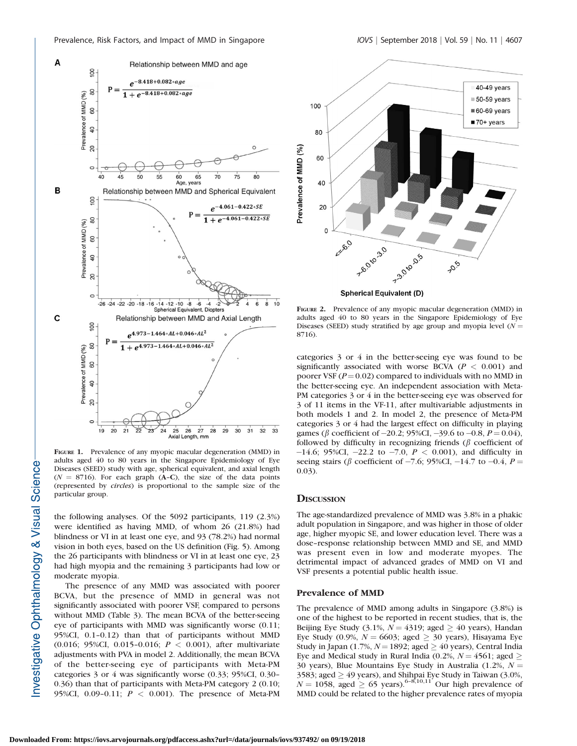

FIGURE 1. Prevalence of any myopic macular degeneration (MMD) in adults aged 40 to 80 years in the Singapore Epidemiology of Eye Diseases (SEED) study with age, spherical equivalent, and axial length  $(N = 8716)$ . For each graph (A-C), the size of the data points (represented by circles) is proportional to the sample size of the particular group.

the following analyses. Of the 5092 participants, 119 (2.3%) were identified as having MMD, of whom 26 (21.8%) had blindness or VI in at least one eye, and 93 (78.2%) had normal vision in both eyes, based on the US definition (Fig. 5). Among the 26 participants with blindness or VI in at least one eye, 23 had high myopia and the remaining 3 participants had low or moderate myopia.

The presence of any MMD was associated with poorer BCVA, but the presence of MMD in general was not significantly associated with poorer VSF, compared to persons without MMD (Table 3). The mean BCVA of the better-seeing eye of participants with MMD was significantly worse (0.11; 95%CI, 0.1–0.12) than that of participants without MMD (0.016; 95%CI, 0.015-0.016;  $P < 0.001$ ), after multivariate adjustments with PVA in model 2. Additionally, the mean BCVA of the better-seeing eye of participants with Meta-PM categories 3 or 4 was significantly worse (0.33; 95%CI, 0.30– 0.36) than that of participants with Meta-PM category 2 (0.10; 95%CI, 0.09-0.11;  $P < 0.001$ ). The presence of Meta-PM



78.010.3.0 73.010.05 **Spherical Equivalent (D)** FIGURE 2. Prevalence of any myopic macular degeneration (MMD) in adults aged 40 to 80 years in the Singapore Epidemiology of Eye Diseases (SEED) study stratified by age group and myopia level ( $N =$ 8716).

**20.5** 

categories 3 or 4 in the better-seeing eye was found to be significantly associated with worse BCVA ( $P < 0.001$ ) and poorer VSF ( $P = 0.02$ ) compared to individuals with no MMD in the better-seeing eye. An independent association with Meta-PM categories 3 or 4 in the better-seeing eye was observed for 3 of 11 items in the VF-11, after multivariable adjustments in both models 1 and 2. In model 2, the presence of Meta-PM categories 3 or 4 had the largest effect on difficulty in playing games ( $\beta$  coefficient of -20.2; 95%CI, -39.6 to -0.8,  $P = 0.04$ ), followed by difficulty in recognizing friends ( $\beta$  coefficient of  $-14.6$ ; 95%CI,  $-22.2$  to  $-7.0$ ,  $P < 0.001$ ), and difficulty in seeing stairs ( $\beta$  coefficient of -7.6; 95%CI, -14.7 to -0.4, P = 0.03).

#### **DISCUSSION**

Prevalence of MMD (%)

20

 $\Omega$ 

**LE. B.O** 

The age-standardized prevalence of MMD was 3.8% in a phakic adult population in Singapore, and was higher in those of older age, higher myopic SE, and lower education level. There was a dose–response relationship between MMD and SE, and MMD was present even in low and moderate myopes. The detrimental impact of advanced grades of MMD on VI and VSF presents a potential public health issue.

## Prevalence of MMD

The prevalence of MMD among adults in Singapore (3.8%) is one of the highest to be reported in recent studies, that is, the Beijing Eye Study (3.1%,  $N = 4319$ ; aged  $\geq 40$  years), Handan Eye Study (0.9%,  $N = 6603$ ; aged  $\geq 30$  years), Hisayama Eye Study in Japan (1.7%,  $N = 1892$ ; aged  $> 40$  years), Central India Eye and Medical study in Rural India (0.2%,  $N = 4561$ ; aged  $\geq$ 30 years), Blue Mountains Eye Study in Australia (1.2%,  $N =$ 3583; aged  $\geq$  49 years), and Shihpai Eye Study in Taiwan (3.0%,  $N = 1058$ , aged  $\geq 65$  years).<sup>6–8,10,11</sup> Our high prevalence of MMD could be related to the higher prevalence rates of myopia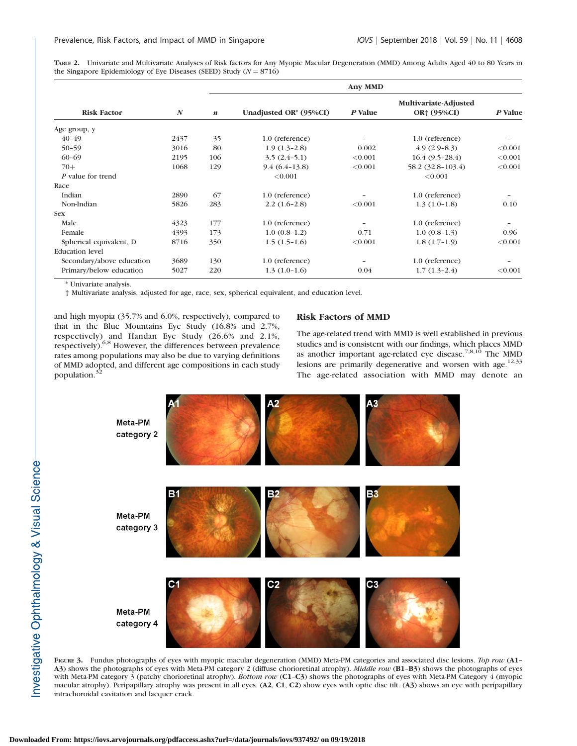TABLE 2. Univariate and Multivariate Analyses of Risk factors for Any Myopic Macular Degeneration (MMD) Among Adults Aged 40 to 80 Years in the Singapore Epidemiology of Eye Diseases (SEED) Study ( $N = 8716$ )

| $\boldsymbol{N}$ | $\boldsymbol{n}$ | Unadjusted OR* (95%CI) |         | Multivariate-Adjusted   |         |
|------------------|------------------|------------------------|---------|-------------------------|---------|
|                  |                  |                        | P Value | OR <sup>+</sup> (95%CI) | P Value |
|                  |                  |                        |         |                         |         |
| 2437             | 35               | 1.0 (reference)        |         | 1.0 (reference)         |         |
| 3016             | 80               | $1.9(1.3-2.8)$         | 0.002   | $(4.9 (2.9 - 8.3))$     | < 0.001 |
| 2195             | 106              | $3.5(2.4-5.1)$         | < 0.001 | $16.4(9.5-28.4)$        | < 0.001 |
| 1068             | 129              | $9.4(6.4-13.8)$        | < 0.001 | 58.2 (32.8-103.4)       | < 0.001 |
|                  |                  | < 0.001                |         | ${<}0.001$              |         |
|                  |                  |                        |         |                         |         |
| 2890             | 67               | 1.0 (reference)        |         | 1.0 (reference)         |         |
| 5826             | 283              | $2.2(1.6-2.8)$         | < 0.001 | $1.3(1.0-1.8)$          | 0.10    |
|                  |                  |                        |         |                         |         |
| 4323             | 177              | 1.0 (reference)        |         | 1.0 (reference)         |         |
| 4393             | 173              | $1.0(0.8-1.2)$         | 0.71    | $1.0(0.8-1.3)$          | 0.96    |
| 8716             | 350              | $1.5(1.5-1.6)$         | < 0.001 | $1.8(1.7-1.9)$          | < 0.001 |
|                  |                  |                        |         |                         |         |
| 3689             | 130              | 1.0 (reference)        |         | 1.0 (reference)         | -       |
| 5027             | 220              | $1.3(1.0-1.6)$         | 0.04    | $1.7(1.3-2.4)$          | < 0.001 |
|                  |                  |                        |         |                         |         |

Univariate analysis

† Multivariate analysis, adjusted for age, race, sex, spherical equivalent, and education level.

and high myopia (35.7% and 6.0%, respectively), compared to that in the Blue Mountains Eye Study (16.8% and 2.7%, respectively) and Handan Eye Study (26.6% and 2.1%, respectively).6,8 However, the differences between prevalence rates among populations may also be due to varying definitions of MMD adopted, and different age compositions in each study population.<sup>3</sup>

# Risk Factors of MMD

The age-related trend with MMD is well established in previous studies and is consistent with our findings, which places MMD as another important age-related eye disease.<sup>7,8,10</sup> The MMD lesions are primarily degenerative and worsen with age.<sup>12,33</sup> The age-related association with MMD may denote an



FIGURE 3. Fundus photographs of eyes with myopic macular degeneration (MMD) Meta-PM categories and associated disc lesions. Top row (A1-A3) shows the photographs of eyes with Meta-PM category 2 (diffuse chorioretinal atrophy). Middle row (B1-B3) shows the photographs of eyes with Meta-PM category 3 (patchy chorioretinal atrophy). Bottom row (C1-C3) shows the photographs of eyes with Meta-PM Category 4 (myopic macular atrophy). Peripapillary atrophy was present in all eyes. (A2, C1, C2) show eyes with optic disc tilt. (A3) shows an eye with peripapillary intrachoroidal cavitation and lacquer crack.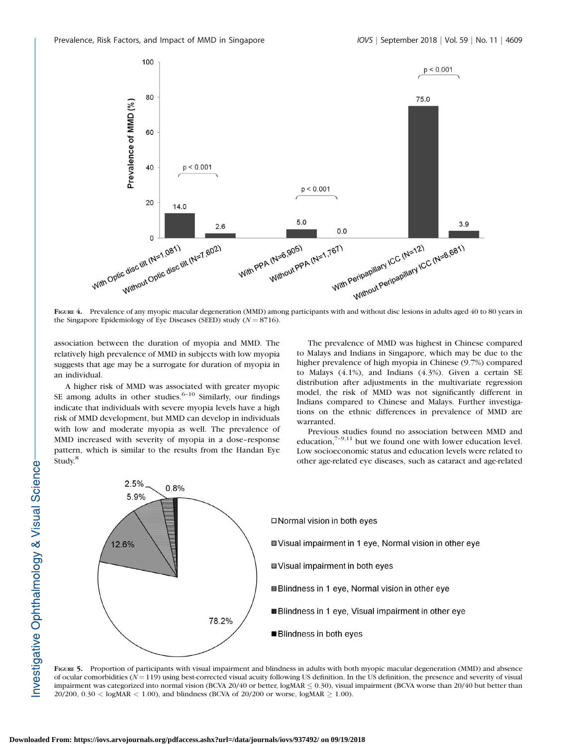

FIGURE 4. Prevalence of any myopic macular degeneration (MMD) among participants with and without disc lesions in adults aged 40 to 80 years in the Singapore Epidemiology of Eye Diseases (SEED) study ( $N = 8716$ ).

association between the duration of myopia and MMD. The relatively high prevalence of MMD in subjects with low myopia suggests that age may be a surrogate for duration of myopia in an individual.

A higher risk of MMD was associated with greater myopic SE among adults in other studies. $6-10$  Similarly, our findings indicate that individuals with severe myopia levels have a high risk of MMD development, but MMD can develop in individuals with low and moderate myopia as well. The prevalence of MMD increased with severity of myopia in a dose–response pattern, which is similar to the results from the Handan Eye Study.8

The prevalence of MMD was highest in Chinese compared to Malays and Indians in Singapore, which may be due to the higher prevalence of high myopia in Chinese (9.7%) compared to Malays (4.1%), and Indians (4.3%). Given a certain SE distribution after adjustments in the multivariate regression model, the risk of MMD was not significantly different in Indians compared to Chinese and Malays. Further investigations on the ethnic differences in prevalence of MMD are warranted.

Previous studies found no association between MMD and education, $7-9,11$  but we found one with lower education level. Low socioeconomic status and education levels were related to other age-related eye diseases, such as cataract and age-related



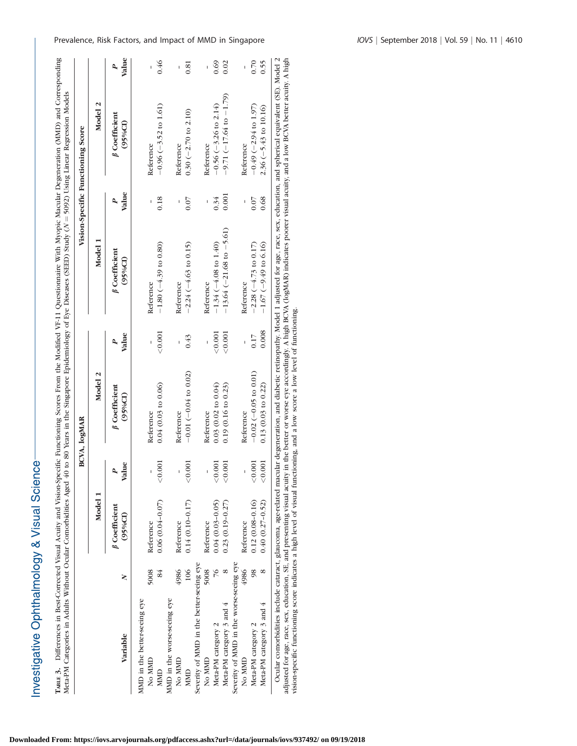| くりつい              |
|-------------------|
|                   |
|                   |
|                   |
|                   |
|                   |
|                   |
|                   |
|                   |
|                   |
|                   |
|                   |
| <b>AND STORES</b> |
|                   |
|                   |
|                   |
|                   |
|                   |
| ミニトリー             |
|                   |
|                   |
|                   |
|                   |
|                   |
|                   |
|                   |
|                   |
|                   |
| ۱                 |
| ここまくさまく           |
|                   |
|                   |
| i                 |
|                   |

| j<br>,<br>l<br>I<br>֖֖֖֖֢ׅ֖֖֖֖֖֖ׅ֧ׅ֖֖֧֪֪֪֪֪֪֪֪֪֪֪֪֪֪֪֪֪֪֪֪֪֪֪֪֪֪֪֪֪֪֪֪֪֪֚֚֚֚֚֚֚֚֚֚֚֚֚֚֚֚֚֚֚֚֚֚֚֚֚֚֬֝֝֓֞<br>l<br>$\overline{\phantom{a}}$<br>is a factor of the control<br>I<br>֧֖֖֖֧֧֧֧֧֧֧֧֧֧֧֧֧֧֧֧֧֧֛֧֧֧֧֧֧֛֚֚֚֚֚֚֚֚֚֚֚֚֝֝֝֝֓֝֓֝֓֝֬֝֓֝֬֝֓֝֬֝֓֝֬֝֬֝֬֝֬֝֬֝֬֝֬֝֬֝֬֝֬<br>Š<br>١<br>١<br>i<br>I<br>i<br>i<br>San San<br>ļ<br>i<br>I<br>$\begin{array}{c} \hline \end{array}$ | ・・・・・<br>l<br>I<br>l<br>ļ<br>j<br>$\frac{1}{1}$<br>I<br>Ì<br>$\frac{1}{1}$<br>$\overline{a}$<br>İ<br>į<br>Ĭ<br>$-1.77777$<br>Î |
|--------------------------------------------------------------------------------------------------------------------------------------------------------------------------------------------------------------------------------------------------------------------------------------------------------------------------------------------------------------------------|--------------------------------------------------------------------------------------------------------------------------------|
| $\frac{1}{2}$<br>i<br>Samud Sa<br>Į                                                                                                                                                                                                                                                                                                                                      |                                                                                                                                |

|                                                                                                                            |               |                              |                       | BCVA, logMAR                       |            |                                                                                                                                                                                                                                                                                                                                                                                                                   |              | Vision-Specific Functioning Score |                       |
|----------------------------------------------------------------------------------------------------------------------------|---------------|------------------------------|-----------------------|------------------------------------|------------|-------------------------------------------------------------------------------------------------------------------------------------------------------------------------------------------------------------------------------------------------------------------------------------------------------------------------------------------------------------------------------------------------------------------|--------------|-----------------------------------|-----------------------|
|                                                                                                                            |               | Model 1                      |                       | Model 2                            |            | Model 1                                                                                                                                                                                                                                                                                                                                                                                                           |              | Model 2                           |                       |
| Variable                                                                                                                   | ≷             | ß Coefficient<br>$(95\%$ CI) | Value<br>$\mathbf{r}$ | $\beta$ Coefficient<br>$(95\%$ CI) | Value<br>R | $\beta$ Coefficient<br>$(95\%$ CI)                                                                                                                                                                                                                                                                                                                                                                                | Value<br>2   | ß Coefficient<br>$(95\%$ CI)      | Value<br>$\mathbf{p}$ |
| MMD in the better-seeing eye                                                                                               |               |                              |                       |                                    |            |                                                                                                                                                                                                                                                                                                                                                                                                                   |              |                                   |                       |
| No MMD                                                                                                                     | 5008          | Reference                    |                       | Reference                          |            | Reference                                                                                                                                                                                                                                                                                                                                                                                                         |              | Reference                         |                       |
| MMD                                                                                                                        | 84            | $0.06(0.04 - 0.07)$          | (0.001                | $0.04(0.03)$ to $0.06$             | < 0.001    | $-1.80 (-4.39 to 0.80)$                                                                                                                                                                                                                                                                                                                                                                                           | 0.18         | $-0.96(-3.52 \text{ to } 1.61)$   | 0.46                  |
| MMD in the worse-seeing eye                                                                                                |               |                              |                       |                                    |            |                                                                                                                                                                                                                                                                                                                                                                                                                   |              |                                   |                       |
| No MMD                                                                                                                     | 4986          | Reference                    |                       | Reference                          |            | Reference                                                                                                                                                                                                                                                                                                                                                                                                         | I            | Reference                         | I                     |
| MMD                                                                                                                        | 106           | $0.14(0.10-0.17)$            | (0.001                | $-0.01 (-0.04 to 0.02)$            | 643        | $-2.24 (-4.63 \text{ to } 0.15)$                                                                                                                                                                                                                                                                                                                                                                                  | 0.07         | $0.30 (-2.70 \text{ to } 2.10)$   | 0.81                  |
| Severity of MMD in the better-seeing eye                                                                                   |               |                              |                       |                                    |            |                                                                                                                                                                                                                                                                                                                                                                                                                   |              |                                   |                       |
| NO MMD                                                                                                                     | 5008          | Reference                    |                       | Reference                          |            | Reference                                                                                                                                                                                                                                                                                                                                                                                                         | $\mathsf{I}$ | Reference                         |                       |
| Meta-PM category 2                                                                                                         | $\frac{9}{2}$ | $0.04(0.03 - 0.05)$          | 0.001                 | $0.03(0.02 \text{ to } 0.04)$      | < 0.001    | $-1.34$ ( $-4.08$ to 1.40)                                                                                                                                                                                                                                                                                                                                                                                        | 0.34         | $-0.56(-3.26 \text{ to } 2.14)$   | 0.69                  |
| Meta-PM category 3 and 4                                                                                                   |               | $0.23(0.19 - 0.27)$          | (0.001                | $0.19(0.16 \text{ to } 0.23)$      | < 0.001    | $-13.64$ ( $-21.68$ to $-5.61$ )                                                                                                                                                                                                                                                                                                                                                                                  | 0.001        | $-9.71(-17.64 \text{ to } -1.79)$ | 0.02                  |
| Severity of MMD in the worse-seeing eye                                                                                    |               |                              |                       |                                    |            |                                                                                                                                                                                                                                                                                                                                                                                                                   |              |                                   |                       |
| No MMD                                                                                                                     | 4986          | Reference                    |                       | Reference                          |            | Reference                                                                                                                                                                                                                                                                                                                                                                                                         |              | Reference                         |                       |
| Meta-PM category 2                                                                                                         | 98            | $0.12(0.08 - 0.16)$          | (0.001                | $-0.02$ ( $-0.05$ to 0.01)         | 0.17       | $-2.28$ ( $-4.73$ to 0.17)                                                                                                                                                                                                                                                                                                                                                                                        | 0.07         | $-0.49(-2.94 \text{ to } 1.97)$   | 0.70                  |
| Meta-PM category 3 and 4                                                                                                   |               | $0.40(0.27 - 0.52)$          | 0.001                 | $0.13(0.03)$ to $0.22$             | 0.008      | $-1.67(-9.49)$ to 6.16                                                                                                                                                                                                                                                                                                                                                                                            | 0.68         | $2.36 (-5.43)$ to 10.16           | 0.55                  |
| vision-specific functioning score indicates a high level of visual functioning, and a low score a low level of functioning |               |                              |                       |                                    |            | Ocular comorbidities include cataract, glaucoma, age-related macular degeneration, and diabetic retinopathy. Model 1 adjusted for age, race, sex, education, and spherical equivalent (SE). Model 2<br>adjusted for age, race, sex, education, SE, and presenting visual acuity in the better or worse eye accordingly. A high BCVA (logMAR) indicates poorer visual acuity, and a low BCVA better acuity. A high |              |                                   |                       |

**Downloaded From: https://iovs.arvojournals.org/pdfaccess.ashx?url=/data/journals/iovs/937492/ on 09/19/2018**

# Prevalence, Risk Factors, and Impact of MMD in Singapore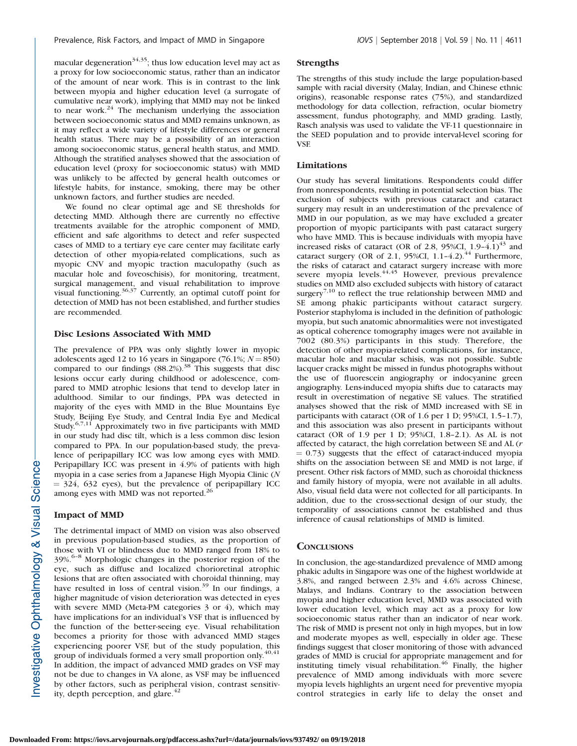macular degeneration<sup>34,35</sup>; thus low education level may act as a proxy for low socioeconomic status, rather than an indicator of the amount of near work. This is in contrast to the link between myopia and higher education level (a surrogate of cumulative near work), implying that MMD may not be linked to near work. $24$  The mechanism underlying the association between socioeconomic status and MMD remains unknown, as it may reflect a wide variety of lifestyle differences or general health status. There may be a possibility of an interaction among socioeconomic status, general health status, and MMD. Although the stratified analyses showed that the association of education level (proxy for socioeconomic status) with MMD was unlikely to be affected by general health outcomes or lifestyle habits, for instance, smoking, there may be other unknown factors, and further studies are needed.

We found no clear optimal age and SE thresholds for detecting MMD. Although there are currently no effective treatments available for the atrophic component of MMD, efficient and safe algorithms to detect and refer suspected cases of MMD to a tertiary eye care center may facilitate early detection of other myopia-related complications, such as myopic CNV and myopic traction maculopathy (such as macular hole and foveoschisis), for monitoring, treatment, surgical management, and visual rehabilitation to improve visual functioning.<sup>36,37</sup> Currently, an optimal cutoff point for detection of MMD has not been established, and further studies are recommended.

# Disc Lesions Associated With MMD

The prevalence of PPA was only slightly lower in myopic adolescents aged 12 to 16 years in Singapore  $(76.1\%; N = 850)$ compared to our findings (88.2%).<sup>38</sup> This suggests that disc lesions occur early during childhood or adolescence, compared to MMD atrophic lesions that tend to develop later in adulthood. Similar to our findings, PPA was detected in majority of the eyes with MMD in the Blue Mountains Eye Study, Beijing Eye Study, and Central India Eye and Medical Study.6,7,11 Approximately two in five participants with MMD in our study had disc tilt, which is a less common disc lesion compared to PPA. In our population-based study, the prevalence of peripapillary ICC was low among eyes with MMD. Peripapillary ICC was present in 4.9% of patients with high myopia in a case series from a Japanese High Myopia Clinic (N  $=$  324, 632 eyes), but the prevalence of peripapillary ICC among eyes with MMD was not reported.<sup>26</sup>

#### Impact of MMD

The detrimental impact of MMD on vision was also observed in previous population-based studies, as the proportion of those with VI or blindness due to MMD ranged from 18% to 39%.<sup>6–8</sup> Morphologic changes in the posterior region of the eye, such as diffuse and localized chorioretinal atrophic lesions that are often associated with choroidal thinning, may have resulted in loss of central vision.<sup>39</sup> In our findings, a higher magnitude of vision deterioration was detected in eyes with severe MMD (Meta-PM categories 3 or 4), which may have implications for an individual's VSF that is influenced by the function of the better-seeing eye. Visual rehabilitation becomes a priority for those with advanced MMD stages experiencing poorer VSF, but of the study population, this group of individuals formed a very small proportion only.<sup>40,41</sup> In addition, the impact of advanced MMD grades on VSF may not be due to changes in VA alone, as VSF may be influenced by other factors, such as peripheral vision, contrast sensitivity, depth perception, and glare. $^{42}$ 

#### Strengths

The strengths of this study include the large population-based sample with racial diversity (Malay, Indian, and Chinese ethnic origins), reasonable response rates (75%), and standardized methodology for data collection, refraction, ocular biometry assessment, fundus photography, and MMD grading. Lastly, Rasch analysis was used to validate the VF-11 questionnaire in the SEED population and to provide interval-level scoring for **VSF.** 

# Limitations

Our study has several limitations. Respondents could differ from nonrespondents, resulting in potential selection bias. The exclusion of subjects with previous cataract and cataract surgery may result in an underestimation of the prevalence of MMD in our population, as we may have excluded a greater proportion of myopic participants with past cataract surgery who have MMD. This is because individuals with myopia have increased risks of cataract (OR of 2.8,  $95\%$ CI, 1.9–4.1)<sup>43</sup> and cataract surgery (OR of 2.1, 95%CI,  $1.1-4.2$ ).<sup>44</sup> Furthermore, the risks of cataract and cataract surgery increase with more severe myopia levels.<sup>44,45</sup> However, previous prevalence studies on MMD also excluded subjects with history of cataract surgery<sup>7,10</sup> to reflect the true relationship between MMD and SE among phakic participants without cataract surgery. Posterior staphyloma is included in the definition of pathologic myopia, but such anatomic abnormalities were not investigated as optical coherence tomography images were not available in 7002 (80.3%) participants in this study. Therefore, the detection of other myopia-related complications, for instance, macular hole and macular schisis, was not possible. Subtle lacquer cracks might be missed in fundus photographs without the use of fluorescein angiography or indocyanine green angiography. Lens-induced myopia shifts due to cataracts may result in overestimation of negative SE values. The stratified analyses showed that the risk of MMD increased with SE in participants with cataract (OR of 1.6 per 1 D; 95%CI, 1.5–1.7), and this association was also present in participants without cataract (OR of 1.9 per 1 D; 95%CI, 1.8–2.1). As AL is not affected by cataract, the high correlation between SE and AL (r  $(0.73)$  suggests that the effect of cataract-induced myopia shifts on the association between SE and MMD is not large, if present. Other risk factors of MMD, such as choroidal thickness and family history of myopia, were not available in all adults. Also, visual field data were not collected for all participants. In addition, due to the cross-sectional design of our study, the temporality of associations cannot be established and thus inference of causal relationships of MMD is limited.

## **CONCLUSIONS**

In conclusion, the age-standardized prevalence of MMD among phakic adults in Singapore was one of the highest worldwide at 3.8%, and ranged between 2.3% and 4.6% across Chinese, Malays, and Indians. Contrary to the association between myopia and higher education level, MMD was associated with lower education level, which may act as a proxy for low socioeconomic status rather than an indicator of near work. The risk of MMD is present not only in high myopes, but in low and moderate myopes as well, especially in older age. These findings suggest that closer monitoring of those with advanced grades of MMD is crucial for appropriate management and for instituting timely visual rehabilitation.<sup>46</sup> Finally, the higher prevalence of MMD among individuals with more severe myopia levels highlights an urgent need for preventive myopia control strategies in early life to delay the onset and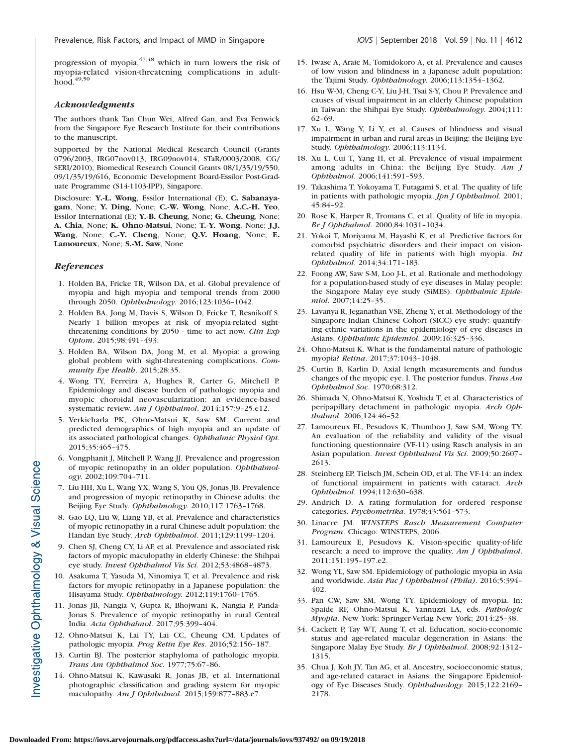progression of myopia, $47,48$  which in turn lowers the risk of myopia-related vision-threatening complications in adult $hood.<sup>49,50</sup>$ 

#### Acknowledgments

The authors thank Tan Chun Wei, Alfred Gan, and Eva Fenwick from the Singapore Eye Research Institute for their contributions to the manuscript.

Supported by the National Medical Research Council (Grants 0796/2003, IRG07nov013, IRG09nov014, STaR/0003/2008, CG/ SERI/2010), Biomedical Research Council Grants 08/1/35/19/550, 09/1/35/19/616, Economic Development Board-Essilor Post-Graduate Programme (S14-1103-IPP), Singapore.

Disclosure: Y.-L. Wong, Essilor International (E); C. Sabanayagam, None; Y. Ding, None; C.-W. Wong, None; A.C.-H. Yeo, Essilor International (E); Y.-B. Cheung, None; G. Cheung, None; A. Chia, None; K. Ohno-Matsui, None; T.-Y. Wong, None; J.J. Wang, None; C.-Y. Cheng, None; Q.V. Hoang, None; E. Lamoureux, None; S.-M. Saw, None

## References

- 1. Holden BA, Fricke TR, Wilson DA, et al. Global prevalence of myopia and high myopia and temporal trends from 2000 through 2050. Ophthalmology. 2016;123:1036–1042.
- 2. Holden BA, Jong M, Davis S, Wilson D, Fricke T, Resnikoff S. Nearly 1 billion myopes at risk of myopia-related sightthreatening conditions by 2050 - time to act now. Clin Exp Optom. 2015;98:491–493.
- 3. Holden BA, Wilson DA, Jong M, et al. Myopia: a growing global problem with sight-threatening complications. Community Eye Health. 2015;28:35.
- 4. Wong TY, Ferreira A, Hughes R, Carter G, Mitchell P. Epidemiology and disease burden of pathologic myopia and myopic choroidal neovascularization: an evidence-based systematic review. Am J Ophthalmol. 2014;157:9–25.e12.
- 5. Verkicharla PK, Ohno-Matsui K, Saw SM. Current and predicted demographics of high myopia and an update of its associated pathological changes. Ophthalmic Physiol Opt. 2015;35:465–475.
- 6. Vongphanit J, Mitchell P, Wang JJ. Prevalence and progression of myopic retinopathy in an older population. Ophthalmology. 2002;109:704–711.
- 7. Liu HH, Xu L, Wang YX, Wang S, You QS, Jonas JB. Prevalence and progression of myopic retinopathy in Chinese adults: the Beijing Eye Study. Ophthalmology. 2010;117:1763–1768.
- 8. Gao LQ, Liu W, Liang YB, et al. Prevalence and characteristics of myopic retinopathy in a rural Chinese adult population: the Handan Eye Study. Arch Ophthalmol. 2011;129:1199–1204.
- 9. Chen SJ, Cheng CY, Li AF, et al. Prevalence and associated risk factors of myopic maculopathy in elderly Chinese: the Shihpai eye study. Invest Ophthalmol Vis Sci. 2012;53:4868–4873.
- 10. Asakuma T, Yasuda M, Ninomiya T, et al. Prevalence and risk factors for myopic retinopathy in a Japanese population: the Hisayama Study. Ophthalmology. 2012;119:1760–1765.
- 11. Jonas JB, Nangia V, Gupta R, Bhojwani K, Nangia P, Panda-Jonas S. Prevalence of myopic retinopathy in rural Central India. Acta Ophthalmol. 2017;95:399–404.
- 12. Ohno-Matsui K, Lai TY, Lai CC, Cheung CM. Updates of pathologic myopia. Prog Retin Eye Res. 2016;52:156–187.
- 13. Curtin BJ. The posterior staphyloma of pathologic myopia. Trans Am Ophthalmol Soc. 1977;75:67–86.
- 14. Ohno-Matsui K, Kawasaki R, Jonas JB, et al. International photographic classification and grading system for myopic maculopathy. Am J Ophthalmol. 2015;159:877–883.e7.
- 15. Iwase A, Araie M, Tomidokoro A, et al. Prevalence and causes of low vision and blindness in a Japanese adult population: the Tajimi Study. Ophthalmology. 2006;113:1354–1362.
- 16. Hsu W-M, Cheng C-Y, Liu J-H, Tsai S-Y, Chou P. Prevalence and causes of visual impairment in an elderly Chinese population in Taiwan: the Shihpai Eye Study. Ophthalmology. 2004;111: 62–69.
- 17. Xu L, Wang Y, Li Y, et al. Causes of blindness and visual impairment in urban and rural areas in Beijing: the Beijing Eye Study. Ophthalmology. 2006;113:1134.
- 18. Xu L, Cui T, Yang H, et al. Prevalence of visual impairment among adults in China: the Beijing Eye Study.  $Am \, J$ Ophthalmol. 2006;141:591–593.
- 19. Takashima T, Yokoyama T, Futagami S, et al. The quality of life in patients with pathologic myopia. Jpn J Ophthalmol. 2001; 45:84–92.
- 20. Rose K, Harper R, Tromans C, et al. Quality of life in myopia. Br J Ophthalmol. 2000;84:1031–1034.
- 21. Yokoi T, Moriyama M, Hayashi K, et al. Predictive factors for comorbid psychiatric disorders and their impact on visionrelated quality of life in patients with high myopia. Int Ophthalmol. 2014;34:171–183.
- 22. Foong AW, Saw S-M, Loo J-L, et al. Rationale and methodology for a population-based study of eye diseases in Malay people: the Singapore Malay eye study (SiMES). Ophthalmic Epidemiol. 2007;14:25–35.
- 23. Lavanya R, Jeganathan VSE, Zheng Y, et al. Methodology of the Singapore Indian Chinese Cohort (SICC) eye study: quantifying ethnic variations in the epidemiology of eye diseases in Asians. Ophthalmic Epidemiol. 2009;16:325–336.
- 24. Ohno-Matsui K. What is the fundamental nature of pathologic myopia? Retina. 2017;37:1043–1048.
- 25. Curtin B, Karlin D. Axial length measurements and fundus changes of the myopic eye. I. The posterior fundus. Trans Am Ophthalmol Soc. 1970;68:312.
- 26. Shimada N, Ohno-Matsui K, Yoshida T, et al. Characteristics of peripapillary detachment in pathologic myopia. Arch Ophthalmol. 2006;124:46–52.
- 27. Lamoureux EL, Pesudovs K, Thumboo J, Saw S-M, Wong TY. An evaluation of the reliability and validity of the visual functioning questionnaire (VF-11) using Rasch analysis in an Asian population. Invest Ophthalmol Vis Sci. 2009;50:2607– 2613.
- 28. Steinberg EP, Tielsch JM, Schein OD, et al. The VF-14: an index of functional impairment in patients with cataract. Arch Ophthalmol. 1994;112:630–638.
- 29. Andrich D. A rating formulation for ordered response categories. Psychometrika. 1978;43:561–573.
- 30. Linacre JM. WINSTEPS Rasch Measurement Computer Program. Chicago: WINSTEPS; 2006.
- 31. Lamoureux E, Pesudovs K. Vision-specific quality-of-life research: a need to improve the quality. Am J Ophthalmol. 2011;151:195–197.e2.
- 32. Wong YL, Saw SM. Epidemiology of pathologic myopia in Asia and worldwide. Asia Pac J Ophthalmol (Phila). 2016;5:394– 402.
- 33. Pan CW, Saw SM, Wong TY. Epidemiology of myopia. In: Spaide RF, Ohno-Matsui K, Yannuzzi LA, eds. Pathologic Myopia. New York: Springer-Verlag New York; 2014:25–38.
- 34. Cackett P, Tay WT, Aung T, et al. Education, socio-economic status and age-related macular degeneration in Asians: the Singapore Malay Eye Study. Br J Ophthalmol. 2008;92:1312– 1315.
- 35. Chua J, Koh JY, Tan AG, et al. Ancestry, socioeconomic status, and age-related cataract in Asians: the Singapore Epidemiology of Eye Diseases Study. Ophthalmology. 2015;122:2169– 2178.